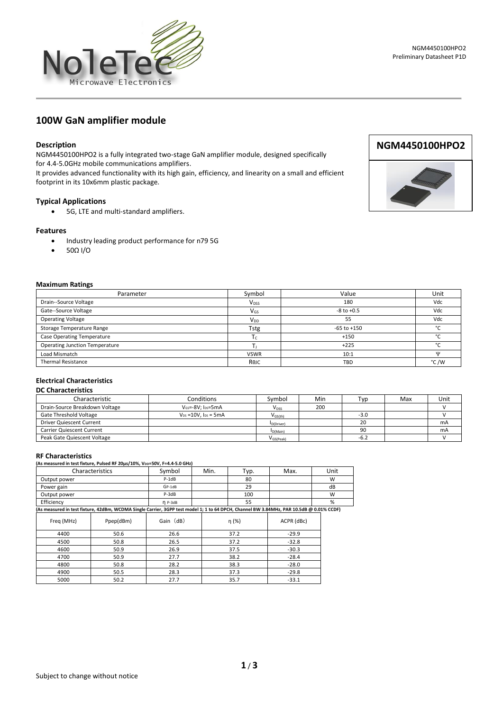



## **Description**

NGM4450100HPO2 is a fully integrated two-stage GaN amplifier module, designed specifically for 4.4-5.0GHz mobile communications amplifiers.

It provides advanced functionality with its high gain, efficiency, and linearity on a small and efficient footprint in its 10x6mm plastic package.

## **Typical Applications**

• 5G, LTE and multi-standard amplifiers.

#### **Features**

- Industry leading product performance for n79 5G
- 50Ω I/O

# **Maximum Ratings**

| Parameter                             | Symbol                 | Value           | Unit          |  |
|---------------------------------------|------------------------|-----------------|---------------|--|
| Drain--Source Voltage                 | <b>V<sub>DSS</sub></b> | 180             | Vdc           |  |
| Gate--Source Voltage                  | $V_{GS}$               | $-8$ to $+0.5$  | Vdc           |  |
| <b>Operating Voltage</b>              | <b>V<sub>DD</sub></b>  | 55              | Vdc           |  |
| Storage Temperature Range             | Tstg                   | $-65$ to $+150$ | $\sim$        |  |
| <b>Case Operating Temperature</b>     | Ιc                     | $+150$          | $\sim$        |  |
| <b>Operating Junction Temperature</b> |                        | $+225$          | $\sim$        |  |
| Load Mismatch                         | <b>VSWR</b>            | 10:1            | Ħ             |  |
| <b>Thermal Resistance</b>             | Rejc                   | TBD             | $\degree$ C/W |  |

# **Electrical Characteristics**

### **DC Characteristics**

| Characteristic                 | Conditions                             | Symbol                  | Min | Typ    | Max | Unit |
|--------------------------------|----------------------------------------|-------------------------|-----|--------|-----|------|
| Drain-Source Breakdown Voltage | $V$ <sub>GS</sub> =- $8V$ : lps= $5mA$ | $V_{DSS}$               | 200 |        |     |      |
| Gate Threshold Voltage         | $V_{DS} = 10V$ . $I_{DS} = 5mA$        | $V_{GS(th)}$            |     | $-3.0$ |     |      |
| Driver Quiescent Current       |                                        | I <sub>D</sub> (Driver) |     | 20     |     | mA   |
| Carrier Quiescent Current      |                                        | I <sub>D</sub> (Main)   |     | 90     |     | mA   |
| Peak Gate Quiescent Voltage    |                                        | V <sub>GS</sub> (Peak)  |     | $-6.2$ |     |      |

#### **RF Characteristics**

**(As measured in test fixture, Pulsed RF 20µs/10%, VDD=50V, F=4.4-5.0 GHz)**

|                                                                                                                                          | Characteristics | Symbol    | Min. | Typ.  | Max.       | Unit |
|------------------------------------------------------------------------------------------------------------------------------------------|-----------------|-----------|------|-------|------------|------|
| Output power                                                                                                                             |                 | P-1dB     |      | 80    |            | W    |
| Power gain                                                                                                                               |                 | $GP-1dB$  |      | 29    |            | dB   |
| Output power                                                                                                                             |                 | P-3dB     |      | 100   |            | W    |
| Efficiency                                                                                                                               |                 | $n$ P-3dB |      | 55    |            | %    |
| (As measured in test fixture, 42dBm, WCDMA Single Carrier, 3GPP test model 1; 1 to 64 DPCH, Channel BW 3.84MHz, PAR 10.5dB @ 0.01% CCDF) |                 |           |      |       |            |      |
| Freq (MHz)                                                                                                                               | Ppep(dBm)       | Gain (dB) |      | η (%) | ACPR (dBc) |      |
| 4400                                                                                                                                     | 50.6            | 26.6      |      | 37.2  | $-29.9$    |      |
| 4500                                                                                                                                     | 50.8            | 26.5      |      | 37.2  | $-32.8$    |      |
| 4600                                                                                                                                     | 50.9            | 26.9      |      | 37.5  | $-30.3$    |      |
| 4700                                                                                                                                     | 50.9            | 27.7      |      | 38.2  | $-28.4$    |      |
| 4800                                                                                                                                     | 50.8            | 28.2      |      | 38.3  | $-28.0$    |      |
| 4900                                                                                                                                     | 50.5            | 28.3      |      | 37.3  | $-29.8$    |      |
| 5000                                                                                                                                     | 50.2            | 27.7      |      | 35.7  | $-33.1$    |      |

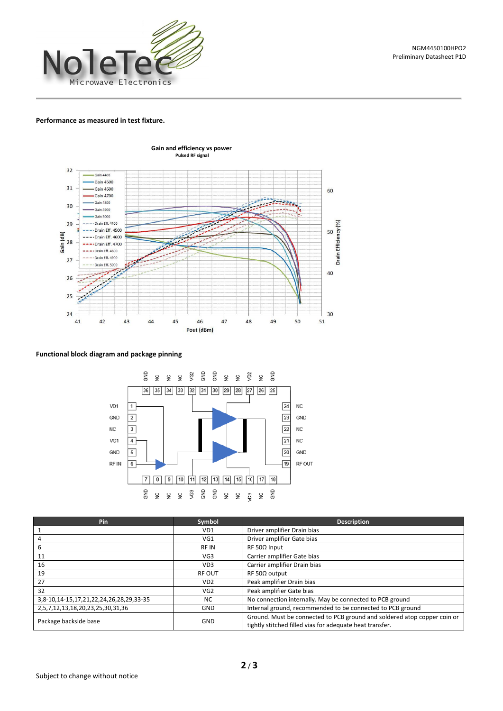

#### **Performance as measured in test fixture.**



### **Functional block diagram and package pinning**



| Pin                                     | Symbol           | <b>Description</b>                                                                                                                   |  |
|-----------------------------------------|------------------|--------------------------------------------------------------------------------------------------------------------------------------|--|
|                                         | VD1              | Driver amplifier Drain bias                                                                                                          |  |
| 4                                       | VG1              | Driver amplifier Gate bias                                                                                                           |  |
| 6                                       | <b>RFIN</b>      | $RF 50\Omega$ Input                                                                                                                  |  |
| 11                                      | VG3              | Carrier amplifier Gate bias                                                                                                          |  |
| 16                                      | VD3              | Carrier amplifier Drain bias                                                                                                         |  |
| 19                                      | <b>RF OUT</b>    | $RF 50\Omega$ output                                                                                                                 |  |
| 27                                      | V <sub>D</sub> 2 | Peak amplifier Drain bias                                                                                                            |  |
| 32                                      | VG <sub>2</sub>  | Peak amplifier Gate bias                                                                                                             |  |
| 3,8-10,14-15,17,21,22,24,26,28,29,33-35 | NC               | No connection internally. May be connected to PCB ground                                                                             |  |
| 2,5,7,12,13,18,20,23,25,30,31,36        | <b>GND</b>       | Internal ground, recommended to be connected to PCB ground                                                                           |  |
| Package backside base                   | GND              | Ground. Must be connected to PCB ground and soldered atop copper coin or<br>tightly stitched filled vias for adequate heat transfer. |  |